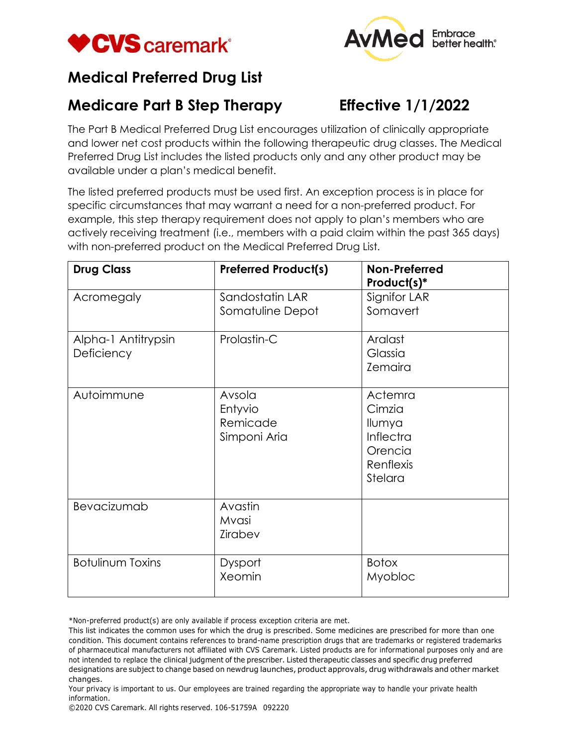



## **Medical Preferred Drug List**

## **Medicare Part B Step Therapy**

## **Effective 1/1/2022**

The Part B Medical Preferred Drug List encourages utilization of clinically appropriate and lower net cost products within the following therapeutic drug classes. The Medical Preferred Drug List includes the listed products only and any other product may be available under a plan's medical benefit.

The listed preferred products must be used first. An exception process is in place for specific circumstances that may warrant a need for a non-preferred product. For example, this step therapy requirement does not apply to plan's members who are actively receiving treatment (i.e., members with a paid claim within the past 365 days) with non-preferred product on the Medical Preferred Drug List.

| <b>Drug Class</b>                 | <b>Preferred Product(s)</b>                   | Non-Preferred<br>Product(s)*                                                |
|-----------------------------------|-----------------------------------------------|-----------------------------------------------------------------------------|
| Acromegaly                        | Sandostatin LAR<br>Somatuline Depot           | Signifor LAR<br>Somavert                                                    |
| Alpha-1 Antitrypsin<br>Deficiency | Prolastin-C                                   | Aralast<br>Glassia<br><b>Zemaira</b>                                        |
| Autoimmune                        | Avsola<br>Entyvio<br>Remicade<br>Simponi Aria | Actemra<br>Cimzia<br>Ilumya<br>Inflectra<br>Orencia<br>Renflexis<br>Stelara |
| Bevacizumab                       | Avastin<br>Mvasi<br>Zirabev                   |                                                                             |
| <b>Botulinum Toxins</b>           | Dysport<br>Xeomin                             | <b>Botox</b><br>Myobloc                                                     |

\*Non-preferred product(s) are only available if process exception criteria are met.

This list indicates the common uses for which the drug is prescribed. Some medicines are prescribed for more than one condition. This document contains references to brand-name prescription drugs that are trademarks or registered trademarks of pharmaceutical manufacturers not affiliated with CVS Caremark. Listed products are for informational purposes only and are not intended to replace the clinical judgment of the prescriber. Listed therapeutic classes and specific drug preferred designations are subject to change based on newdrug launches, product approvals, drug withdrawals and other market changes.

Your privacy is important to us. Our employees are trained regarding the appropriate way to handle your private health information.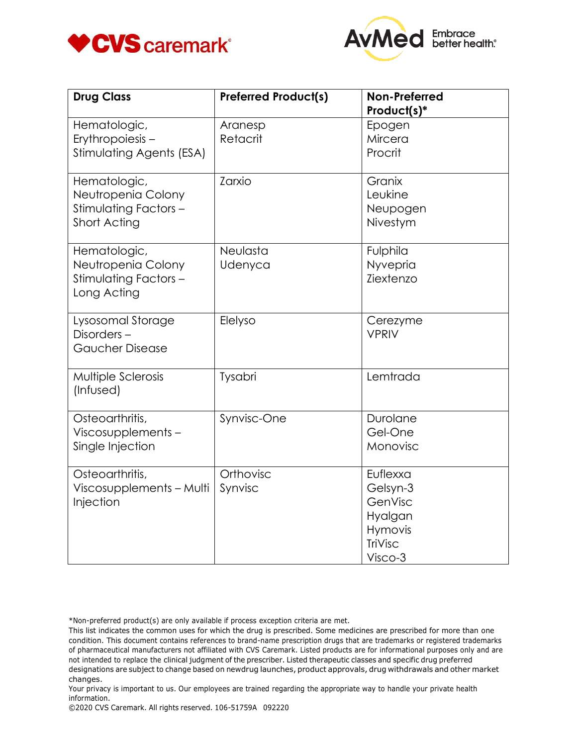



| <b>Drug Class</b>                                                           | <b>Preferred Product(s)</b> | Non-Preferred<br>Product(s)*                                                |
|-----------------------------------------------------------------------------|-----------------------------|-----------------------------------------------------------------------------|
| Hematologic,<br>Erythropoiesis-<br>Stimulating Agents (ESA)                 | Aranesp<br>Retacrit         | Epogen<br>Mircera<br>Procrit                                                |
| Hematologic,<br>Neutropenia Colony<br>Stimulating Factors -<br>Short Acting | Zarxio                      | Granix<br>Leukine<br>Neupogen<br>Nivestym                                   |
| Hematologic,<br>Neutropenia Colony<br>Stimulating Factors -<br>Long Acting  | Neulasta<br>Udenyca         | Fulphila<br>Nyvepria<br>Ziextenzo                                           |
| Lysosomal Storage<br>Disorders-<br><b>Gaucher Disease</b>                   | Elelyso                     | Cerezyme<br><b>VPRIV</b>                                                    |
| Multiple Sclerosis<br>(Infused)                                             | Tysabri                     | Lemtrada                                                                    |
| Osteoarthritis,<br>Viscosupplements-<br>Single Injection                    | Synvisc-One                 | Durolane<br>Gel-One<br>Monovisc                                             |
| Osteoarthritis,<br>Viscosupplements - Multi<br>Injection                    | Orthovisc<br>Synvisc        | Euflexxa<br>Gelsyn-3<br>GenVisc<br>Hyalgan<br>Hymovis<br>TriVisc<br>Visco-3 |

\*Non-preferred product(s) are only available if process exception criteria are met.

This list indicates the common uses for which the drug is prescribed. Some medicines are prescribed for more than one condition. This document contains references to brand-name prescription drugs that are trademarks or registered trademarks of pharmaceutical manufacturers not affiliated with CVS Caremark. Listed products are for informational purposes only and are not intended to replace the clinical judgment of the prescriber. Listed therapeutic classes and specific drug preferred designations are subject to change based on newdrug launches, product approvals, drug withdrawals and other market changes.

Your privacy is important to us. Our employees are trained regarding the appropriate way to handle your private health information.